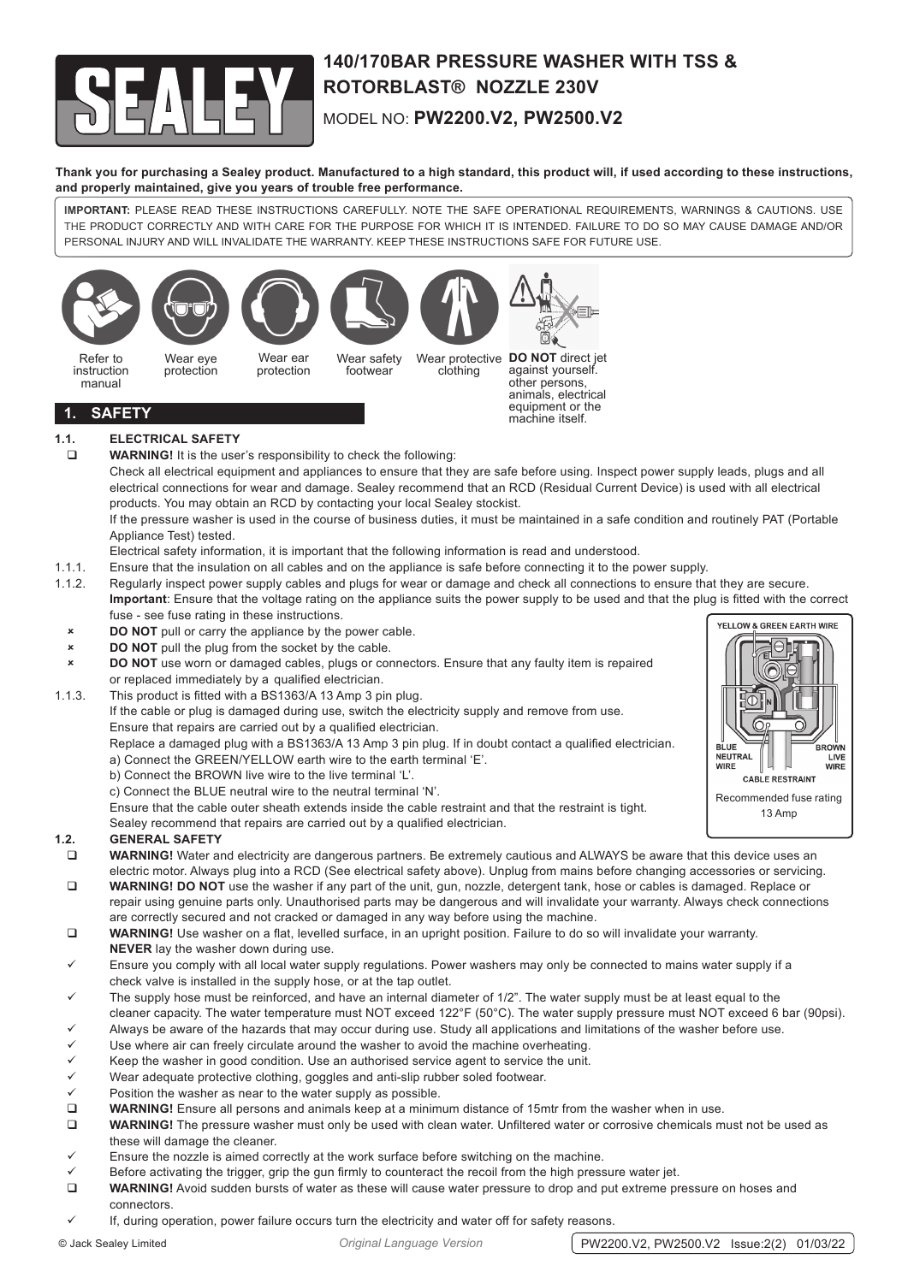

# **140/170BAR PRESSURE WASHER WITH TSS & ROTORBLAST® NOZZLE 230V** MODEL NO: **PW2200.V2, PW2500.V2**

**Thank you for purchasing a Sealey product. Manufactured to a high standard, this product will, if used according to these instructions, and properly maintained, give you years of trouble free performance.**

**IMPORTANT:** PLEASE READ THESE INSTRUCTIONS CAREFULLY. NOTE THE SAFE OPERATIONAL REQUIREMENTS, WARNINGS & CAUTIONS. USE THE PRODUCT CORRECTLY AND WITH CARE FOR THE PURPOSE FOR WHICH IT IS INTENDED. FAILURE TO DO SO MAY CAUSE DAMAGE AND/OR PERSONAL INJURY AND WILL INVALIDATE THE WARRANTY. KEEP THESE INSTRUCTIONS SAFE FOR FUTURE USE.



# **1.1. ELECTRICAL SAFETY**

**WARNING!** It is the user's responsibility to check the following:

Check all electrical equipment and appliances to ensure that they are safe before using. Inspect power supply leads, plugs and all electrical connections for wear and damage. Sealey recommend that an RCD (Residual Current Device) is used with all electrical products. You may obtain an RCD by contacting your local Sealey stockist.

If the pressure washer is used in the course of business duties, it must be maintained in a safe condition and routinely PAT (Portable Appliance Test) tested.

Electrical safety information, it is important that the following information is read and understood.

1.1.1. Ensure that the insulation on all cables and on the appliance is safe before connecting it to the power supply.

1.1.2. Regularly inspect power supply cables and plugs for wear or damage and check all connections to ensure that they are secure. **Important**: Ensure that the voltage rating on the appliance suits the power supply to be used and that the plug is fitted with the correct fuse - see fuse rating in these instructions.

- **EXECUTE A DO NOT** pull or carry the appliance by the power cable.
- **8 BO NOT** pull the plug from the socket by the cable.
- 8 **DO NOT** use worn or damaged cables, plugs or connectors. Ensure that any faulty item is repaired or replaced immediately by a qualified electrician.
- 1.1.3. This product is fitted with a BS1363/A 13 Amp 3 pin plug.
	- If the cable or plug is damaged during use, switch the electricity supply and remove from use. Ensure that repairs are carried out by a qualified electrician.

 Replace a damaged plug with a BS1363/A 13 Amp 3 pin plug. If in doubt contact a qualified electrician. a) Connect the GREEN/YELLOW earth wire to the earth terminal 'E'.

- b) Connect the BROWN live wire to the live terminal 'L'.
- c) Connect the BLUE neutral wire to the neutral terminal 'N'.

Ensure that the cable outer sheath extends inside the cable restraint and that the restraint is tight.

Sealey recommend that repairs are carried out by a qualified electrician.

# **1.2. GENERAL SAFETY**

- **WARNING!** Water and electricity are dangerous partners. Be extremely cautious and ALWAYS be aware that this device uses an electric motor. Always plug into a RCD (See electrical safety above). Unplug from mains before changing accessories or servicing.
- **WARNING! DO NOT** use the washer if any part of the unit, gun, nozzle, detergent tank, hose or cables is damaged. Replace or repair using genuine parts only. Unauthorised parts may be dangerous and will invalidate your warranty. Always check connections are correctly secured and not cracked or damaged in any way before using the machine.
- **WARNING!** Use washer on a flat, levelled surface, in an upright position. Failure to do so will invalidate your warranty. **NEVER** lay the washer down during use.
- Ensure you comply with all local water supply regulations. Power washers may only be connected to mains water supply if a check valve is installed in the supply hose, or at the tap outlet.
- The supply hose must be reinforced, and have an internal diameter of 1/2". The water supply must be at least equal to the
- cleaner capacity. The water temperature must NOT exceed 122°F (50°C). The water supply pressure must NOT exceed 6 bar (90psi).
- Always be aware of the hazards that may occur during use. Study all applications and limitations of the washer before use.
- Use where air can freely circulate around the washer to avoid the machine overheating. 9 Keep the washer in good condition. Use an authorised service agent to service the unit.
- Wear adequate protective clothing, goggles and anti-slip rubber soled footwear.
- 
- $\checkmark$  Position the washer as near to the water supply as possible.<br> **Q** WARNING! Ensure all persons and animals keep at a minim **WARNING!** Ensure all persons and animals keep at a minimum distance of 15mtr from the washer when in use.
- **WARNING!** The pressure washer must only be used with clean water. Unfiltered water or corrosive chemicals must not be used as these will damage the cleaner.
- Ensure the nozzle is aimed correctly at the work surface before switching on the machine.
- Before activating the trigger, grip the gun firmly to counteract the recoil from the high pressure water jet.
- **WARNING!** Avoid sudden bursts of water as these will cause water pressure to drop and put extreme pressure on hoses and connectors.
- If, during operation, power failure occurs turn the electricity and water off for safety reasons.

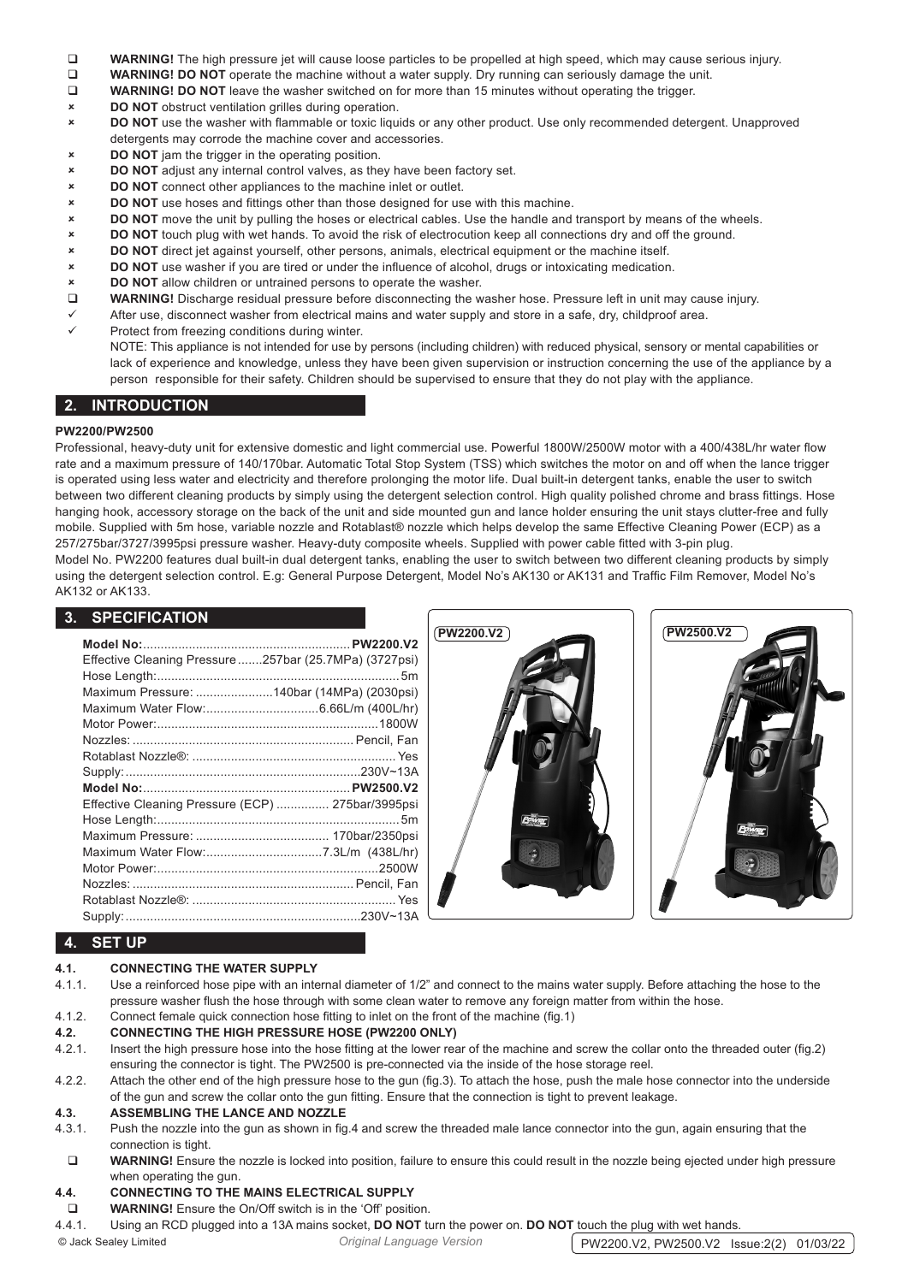- **WARNING!** The high pressure jet will cause loose particles to be propelled at high speed, which may cause serious injury.<br>WARNING! DO NOT operate the machine without a water supply. Dry running can seriously damage the un
- **WARNING! DO NOT** operate the machine without a water supply. Dry running can seriously damage the unit.<br> **D** WARNING! DO NOT leave the washer switched on for more than 15 minutes without operating the trigger.
- **WARNING! DO NOT** leave the washer switched on for more than 15 minutes without operating the trigger.
- 8 **DO NOT** obstruct ventilation grilles during operation.
- 8 **DO NOT** use the washer with flammable or toxic liquids or any other product. Use only recommended detergent. Unapproved detergents may corrode the machine cover and accessories.
- 8 **DO NOT** jam the trigger in the operating position.
- 8 **DO NOT** adjust any internal control valves, as they have been factory set.
- **EXECUTE: DO NOT** connect other appliances to the machine inlet or outlet.
- 8 **DO NOT** use hoses and fittings other than those designed for use with this machine.
- 8 **DO NOT** move the unit by pulling the hoses or electrical cables. Use the handle and transport by means of the wheels.
- 8 **DO NOT** touch plug with wet hands. To avoid the risk of electrocution keep all connections dry and off the ground.
- 8 **DO NOT** direct jet against yourself, other persons, animals, electrical equipment or the machine itself.
- 8 **DO NOT** use washer if you are tired or under the influence of alcohol, drugs or intoxicating medication.
- 8 **DO NOT** allow children or untrained persons to operate the washer.
- **WARNING!** Discharge residual pressure before disconnecting the washer hose. Pressure left in unit may cause injury.
- $\checkmark$  After use, disconnect washer from electrical mains and water supply and store in a safe, dry, childproof area.
- Protect from freezing conditions during winter.
	- NOTE: This appliance is not intended for use by persons (including children) with reduced physical, sensory or mental capabilities or lack of experience and knowledge, unless they have been given supervision or instruction concerning the use of the appliance by a person responsible for their safety. Children should be supervised to ensure that they do not play with the appliance.

# **2. INTRODUCTION**

#### **PW2200/PW2500**

Professional, heavy-duty unit for extensive domestic and light commercial use. Powerful 1800W/2500W motor with a 400/438L/hr water flow rate and a maximum pressure of 140/170bar. Automatic Total Stop System (TSS) which switches the motor on and off when the lance trigger is operated using less water and electricity and therefore prolonging the motor life. Dual built-in detergent tanks, enable the user to switch between two different cleaning products by simply using the detergent selection control. High quality polished chrome and brass fittings. Hose hanging hook, accessory storage on the back of the unit and side mounted gun and lance holder ensuring the unit stays clutter-free and fully mobile. Supplied with 5m hose, variable nozzle and Rotablast® nozzle which helps develop the same Effective Cleaning Power (ECP) as a 257/275bar/3727/3995psi pressure washer. Heavy-duty composite wheels. Supplied with power cable fitted with 3-pin plug. Model No. PW2200 features dual built-in dual detergent tanks, enabling the user to switch between two different cleaning products by simply using the detergent selection control. E.g: General Purpose Detergent, Model No's AK130 or AK131 and Traffic Film Remover, Model No's AK132 or AK133.

# **3. SPECIFICATION**

| Effective Cleaning Pressure 257bar (25.7MPa) (3727psi) |  |
|--------------------------------------------------------|--|
| Maximum Pressure: 140bar (14MPa) (2030psi)             |  |
|                                                        |  |
|                                                        |  |
|                                                        |  |
|                                                        |  |
|                                                        |  |
|                                                        |  |
| Effective Cleaning Pressure (ECP)  275bar/3995psi      |  |
|                                                        |  |
|                                                        |  |
|                                                        |  |
|                                                        |  |
|                                                        |  |
|                                                        |  |
|                                                        |  |





# **4. SET UP**

#### **4.1. CONNECTING THE WATER SUPPLY**

- 4.1.1. Use a reinforced hose pipe with an internal diameter of 1/2" and connect to the mains water supply. Before attaching the hose to the pressure washer flush the hose through with some clean water to remove any foreign matter from within the hose.
- 4.1.2. Connect female quick connection hose fitting to inlet on the front of the machine (fig.1)

#### **4.2. CONNECTING THE HIGH PRESSURE HOSE (PW2200 ONLY)**

- 4.2.1. Insert the high pressure hose into the hose fitting at the lower rear of the machine and screw the collar onto the threaded outer (fig.2) ensuring the connector is tight. The PW2500 is pre-connected via the inside of the hose storage reel.
- 4.2.2. Attach the other end of the high pressure hose to the gun (fig.3). To attach the hose, push the male hose connector into the underside of the gun and screw the collar onto the gun fitting. Ensure that the connection is tight to prevent leakage.

#### **4.3. ASSEMBLING THE LANCE AND NOZZLE**

- 4.3.1. Push the nozzle into the gun as shown in fig.4 and screw the threaded male lance connector into the gun, again ensuring that the connection is tight.
- WARNING! Ensure the nozzle is locked into position, failure to ensure this could result in the nozzle being ejected under high pressure when operating the gun.

#### **4.4. CONNECTING TO THE MAINS ELECTRICAL SUPPLY**

- **WARNING!** Ensure the On/Off switch is in the 'Off' position.
- 4.4.1. Using an RCD plugged into a 13A mains socket, **DO NOT** turn the power on. **DO NOT** touch the plug with wet hands.

© Jack Sealey Limited *Original Language Version* PW2200.V2, PW2500.V2 Issue:2(2) 01/03/22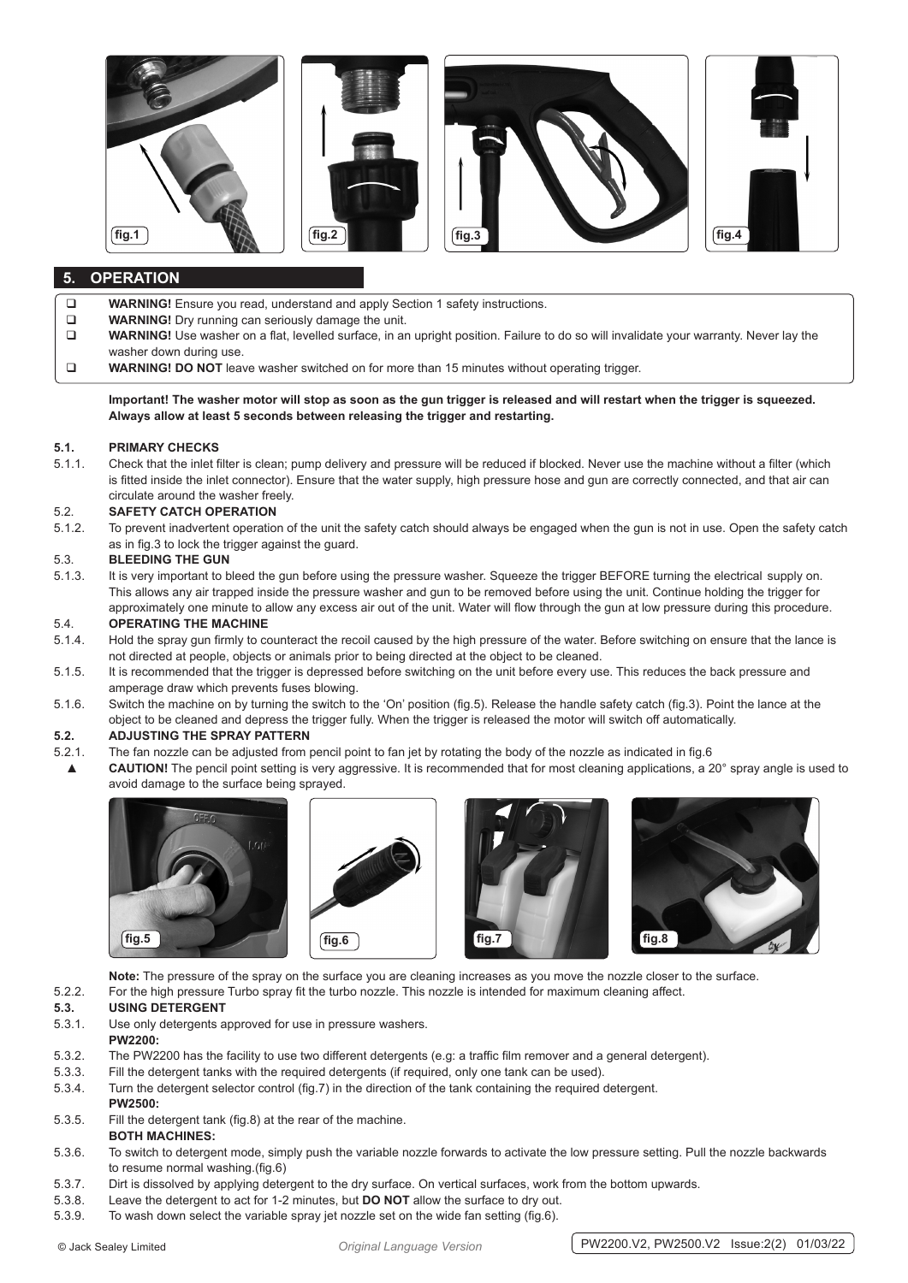

# **5. OPERATION**

- **WARNING!** Ensure you read, understand and apply Section 1 safety instructions.
- **WARNING!** Dry running can seriously damage the unit.
- **WARNING!** Use washer on a flat, levelled surface, in an upright position. Failure to do so will invalidate your warranty. Never lay the washer down during use.
- **WARNING! DO NOT** leave washer switched on for more than 15 minutes without operating trigger.

**Important! The washer motor will stop as soon as the gun trigger is released and will restart when the trigger is squeezed. Always allow at least 5 seconds between releasing the trigger and restarting.**

#### **5.1. PRIMARY CHECKS**

5.1.1. Check that the inlet filter is clean; pump delivery and pressure will be reduced if blocked. Never use the machine without a filter (which is fitted inside the inlet connector). Ensure that the water supply, high pressure hose and gun are correctly connected, and that air can circulate around the washer freely.

#### 5.2. **SAFETY CATCH OPERATION**

5.1.2. To prevent inadvertent operation of the unit the safety catch should always be engaged when the gun is not in use. Open the safety catch as in fig.3 to lock the trigger against the guard.

#### 5.3. **BLEEDING THE GUN**

5.1.3. It is very important to bleed the gun before using the pressure washer. Squeeze the trigger BEFORE turning the electrical supply on. This allows any air trapped inside the pressure washer and gun to be removed before using the unit. Continue holding the trigger for approximately one minute to allow any excess air out of the unit. Water will flow through the gun at low pressure during this procedure.

#### 5.4. **OPERATING THE MACHINE**

- 5.1.4. Hold the spray gun firmly to counteract the recoil caused by the high pressure of the water. Before switching on ensure that the lance is not directed at people, objects or animals prior to being directed at the object to be cleaned.
- 5.1.5. It is recommended that the trigger is depressed before switching on the unit before every use. This reduces the back pressure and amperage draw which prevents fuses blowing.
- 5.1.6. Switch the machine on by turning the switch to the 'On' position (fig.5). Release the handle safety catch (fig.3). Point the lance at the object to be cleaned and depress the trigger fully. When the trigger is released the motor will switch off automatically.

#### **5.2. ADJUSTING THE SPRAY PATTERN**

- 5.2.1. The fan nozzle can be adjusted from pencil point to fan jet by rotating the body of the nozzle as indicated in fig.6
	- ▲ **CAUTION!** The pencil point setting is very aggressive. It is recommended that for most cleaning applications, a 20° spray angle is used to avoid damage to the surface being sprayed.









**Note:** The pressure of the spray on the surface you are cleaning increases as you move the nozzle closer to the surface.

### 5.2.2. For the high pressure Turbo spray fit the turbo nozzle. This nozzle is intended for maximum cleaning affect.

# **5.3. USING DETERGENT**

- 5.3.1. Use only detergents approved for use in pressure washers.
- **PW2200:**
- 5.3.2. The PW2200 has the facility to use two different detergents (e.g: a traffic film remover and a general detergent).
- 5.3.3. Fill the detergent tanks with the required detergents (if required, only one tank can be used).
- 5.3.4. Turn the detergent selector control (fig.7) in the direction of the tank containing the required detergent.
- **PW2500:** 5.3.5. Fill the detergent tank (fig.8) at the rear of the machine.
- **BOTH MACHINES:**
- 5.3.6. To switch to detergent mode, simply push the variable nozzle forwards to activate the low pressure setting. Pull the nozzle backwards to resume normal washing.(fig.6)
- 5.3.7. Dirt is dissolved by applying detergent to the dry surface. On vertical surfaces, work from the bottom upwards.
- 5.3.8. Leave the detergent to act for 1-2 minutes, but **DO NOT** allow the surface to dry out.
- 5.3.9. To wash down select the variable spray jet nozzle set on the wide fan setting (fig.6).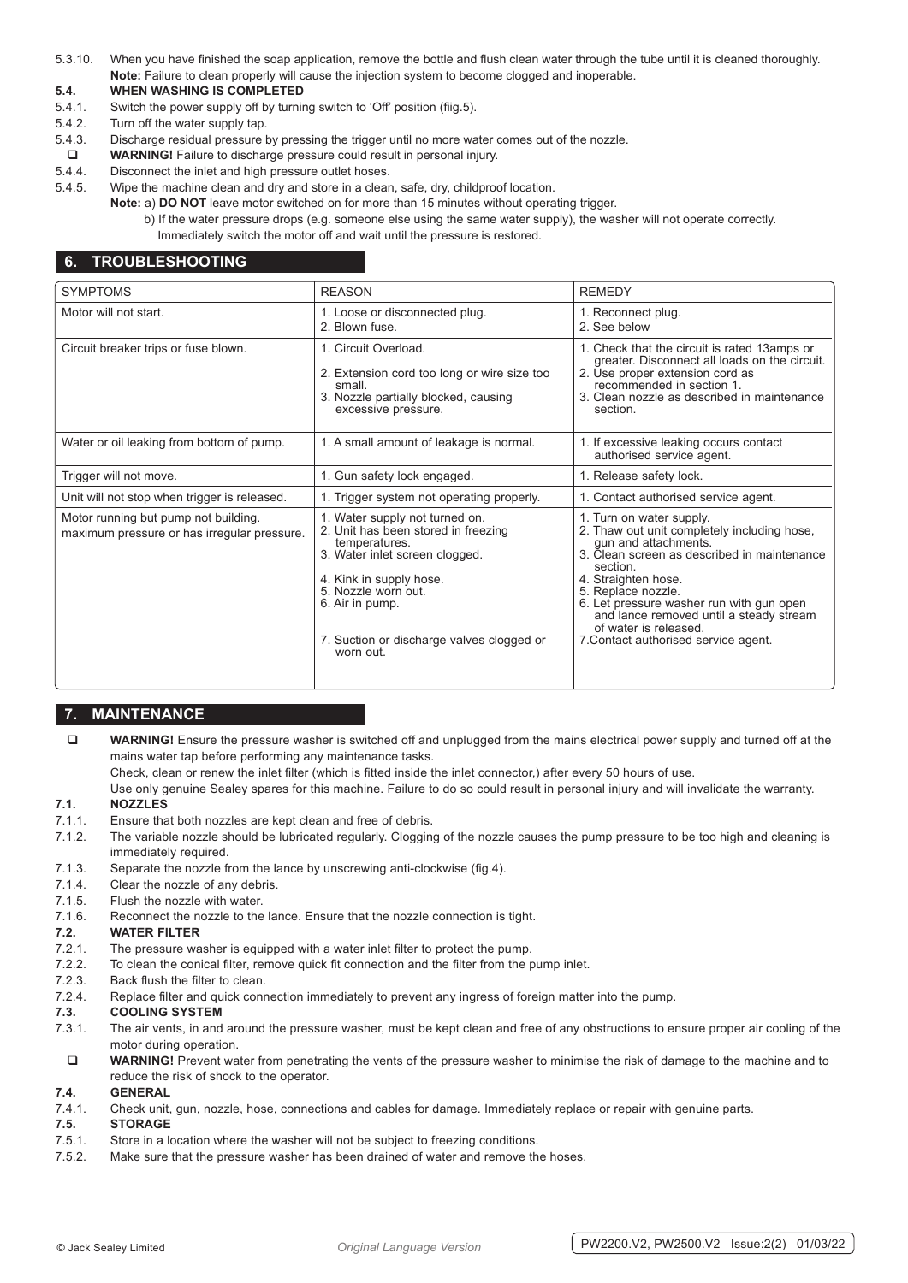5.3.10. When you have finished the soap application, remove the bottle and flush clean water through the tube until it is cleaned thoroughly. **Note:** Failure to clean properly will cause the injection system to become clogged and inoperable.

#### **5.4. WHEN WASHING IS COMPLETED**

- 5.4.1. Switch the power supply off by turning switch to 'Off' position (fiig.5).
- 5.4.2. Turn off the water supply tap.
- 5.4.3. Discharge residual pressure by pressing the trigger until no more water comes out of the nozzle.
- **WARNING!** Failure to discharge pressure could result in personal injury.
- 5.4.4. Disconnect the inlet and high pressure outlet hoses.
- 5.4.5. Wipe the machine clean and dry and store in a clean, safe, dry, childproof location.
	- **Note:** a) **DO NOT** leave motor switched on for more than 15 minutes without operating trigger.
		- b) If the water pressure drops (e.g. someone else using the same water supply), the washer will not operate correctly. Immediately switch the motor off and wait until the pressure is restored.

## **6. TROUBLESHOOTING**

| <b>SYMPTOMS</b>                                                                     | <b>REASON</b>                                                                                                                                                                                                                                           | <b>REMEDY</b>                                                                                                                                                                                                                                                                                                                                                   |
|-------------------------------------------------------------------------------------|---------------------------------------------------------------------------------------------------------------------------------------------------------------------------------------------------------------------------------------------------------|-----------------------------------------------------------------------------------------------------------------------------------------------------------------------------------------------------------------------------------------------------------------------------------------------------------------------------------------------------------------|
| Motor will not start.                                                               | 1. Loose or disconnected plug.<br>2. Blown fuse.                                                                                                                                                                                                        | 1. Reconnect plug.<br>2. See below                                                                                                                                                                                                                                                                                                                              |
| Circuit breaker trips or fuse blown.                                                | 1. Circuit Overload.<br>2. Extension cord too long or wire size too<br>small.<br>3. Nozzle partially blocked, causing<br>excessive pressure.                                                                                                            | 1. Check that the circuit is rated 13amps or<br>greater. Disconnect all loads on the circuit.<br>2. Use proper extension cord as<br>recommended in section 1.<br>3. Clean nozzle as described in maintenance<br>section.                                                                                                                                        |
| Water or oil leaking from bottom of pump.                                           | 1. A small amount of leakage is normal.                                                                                                                                                                                                                 | 1. If excessive leaking occurs contact<br>authorised service agent.                                                                                                                                                                                                                                                                                             |
| Trigger will not move.                                                              | 1. Gun safety lock engaged.                                                                                                                                                                                                                             | 1. Release safety lock.                                                                                                                                                                                                                                                                                                                                         |
| Unit will not stop when trigger is released.                                        | 1. Trigger system not operating properly.                                                                                                                                                                                                               | 1. Contact authorised service agent.                                                                                                                                                                                                                                                                                                                            |
| Motor running but pump not building.<br>maximum pressure or has irregular pressure. | 1. Water supply not turned on.<br>2. Unit has been stored in freezing<br>temperatures.<br>3. Water inlet screen clogged.<br>4. Kink in supply hose.<br>5. Nozzle worn out.<br>6. Air in pump.<br>7. Suction or discharge valves clogged or<br>worn out. | 1. Turn on water supply.<br>2. Thaw out unit completely including hose,<br>gun and attachments.<br>3. Clean screen as described in maintenance<br>section.<br>4. Straighten hose.<br>5. Replace nozzle.<br>6. Let pressure washer run with gun open<br>and lance removed until a steady stream<br>of water is released.<br>7. Contact authorised service agent. |

# **7. MAINTENANCE**

 **WARNING!** Ensure the pressure washer is switched off and unplugged from the mains electrical power supply and turned off at the mains water tap before performing any maintenance tasks.

Check, clean or renew the inlet filter (which is fitted inside the inlet connector,) after every 50 hours of use.

Use only genuine Sealey spares for this machine. Failure to do so could result in personal injury and will invalidate the warranty.

#### **7.1. NOZZLES**

- 7.1.1. Ensure that both nozzles are kept clean and free of debris.
- 7.1.2. The variable nozzle should be lubricated regularly. Clogging of the nozzle causes the pump pressure to be too high and cleaning is immediately required.
- 7.1.3. Separate the nozzle from the lance by unscrewing anti-clockwise (fig.4).
- 7.1.4. Clear the nozzle of any debris.
- 7.1.5. Flush the nozzle with water.
- 7.1.6. Reconnect the nozzle to the lance. Ensure that the nozzle connection is tight.

#### **7.2. WATER FILTER**

- 7.2.1. The pressure washer is equipped with a water inlet filter to protect the pump.
- 7.2.2. To clean the conical filter, remove quick fit connection and the filter from the pump inlet.
- 7.2.3. Back flush the filter to clean.
- 7.2.4. Replace filter and quick connection immediately to prevent any ingress of foreign matter into the pump.

#### **7.3. COOLING SYSTEM**

- 7.3.1. The air vents, in and around the pressure washer, must be kept clean and free of any obstructions to ensure proper air cooling of the motor during operation.
- **WARNING!** Prevent water from penetrating the vents of the pressure washer to minimise the risk of damage to the machine and to reduce the risk of shock to the operator.

**7.4. GENERAL** 7.4.1. Check unit, gun, nozzle, hose, connections and cables for damage. Immediately replace or repair with genuine parts.

# **7.5. STORAGE**

- 7.5.1. Store in a location where the washer will not be subject to freezing conditions.
- 7.5.2. Make sure that the pressure washer has been drained of water and remove the hoses.